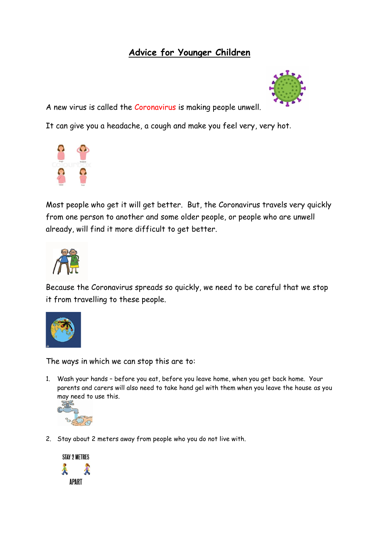### **Advice for Younger Children**



A new virus is called the Coronavirus is making people unwell.

It can give you a headache, a cough and make you feel very, very hot.



Most people who get it will get better. But, the Coronavirus travels very quickly from one person to another and some older people, or people who are unwell already, will find it more difficult to get better.



Because the Coronavirus spreads so quickly, we need to be careful that we stop it from travelling to these people.



The ways in which we can stop this are to:

1. Wash your hands – before you eat, before you leave home, when you get back home. Your parents and carers will also need to take hand gel with them when you leave the house as you may need to use this.



2. Stay about 2 meters away from people who you do not live with.

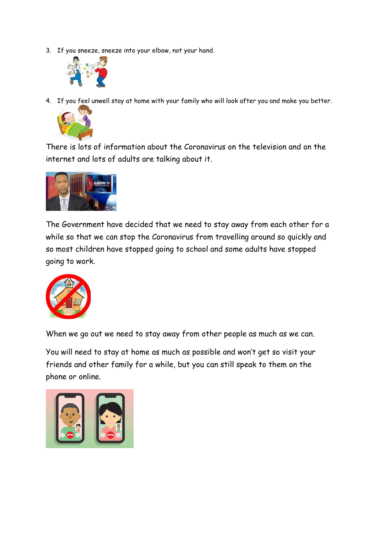3. If you sneeze, sneeze into your elbow, not your hand..



4. If you feel unwell stay at home with your family who will look after you and make you better.



There is lots of information about the Coronavirus on the television and on the internet and lots of adults are talking about it.



The Government have decided that we need to stay away from each other for a while so that we can stop the Coronavirus from travelling around so quickly and so most children have stopped going to school and some adults have stopped going to work.



When we go out we need to stay away from other people as much as we can.

You will need to stay at home as much as possible and won't get so visit your friends and other family for a while, but you can still speak to them on the phone or online.

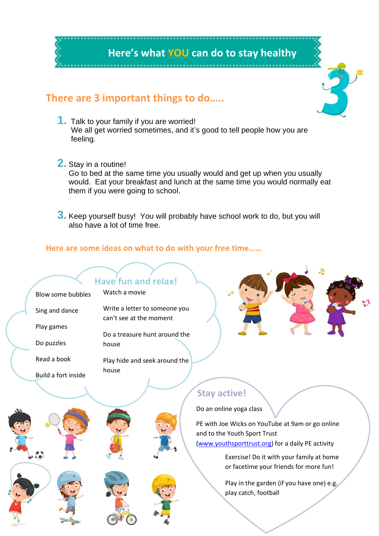

# **There are 3 important things to do…..**

- **1.** Talk to your family if you are worried! We all get worried sometimes, and it's good to tell people how you are feeling.
- **2.** Stay in a routine! Go to bed at the same time you usually would and get up when you usually would. Eat your breakfast and lunch at the same time you would normally eat them if you were going to school.

**3.** Keep yourself busy! You will probably have school work to do, but you will also have a lot of time free.

#### **Here are some ideas on what to do with your free time……**



Play in the garden (if you have one) e.g. play catch, football